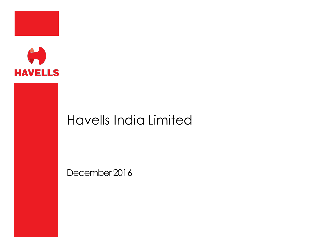



# Havells India Limited

December 2016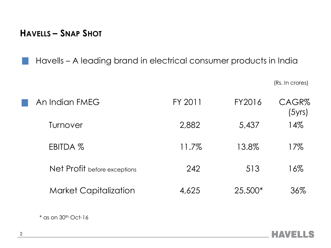**HAVELLS – SNAP SHOT**

Havells – A leading brand in electrical consumer products in India

(Rs. In crores)

| An Indian FMEG               | FY 2011 | FY2016  | CAGR%<br>(5yrs) |  |
|------------------------------|---------|---------|-----------------|--|
| Turnover                     | 2,882   | 5,437   | 14%             |  |
| EBITDA %                     | 11.7%   | 13.8%   | 17%             |  |
| Net Profit before exceptions | 242     | 513     | 16%             |  |
| <b>Market Capitalization</b> | 4,625   | 25,500* | 36%             |  |

 $*$  as on 30<sup>th</sup> Oct-16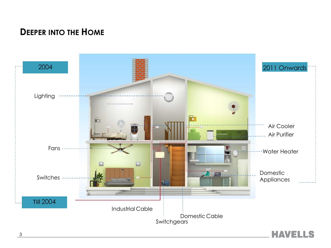### **DEEPER INTO THE HOME**

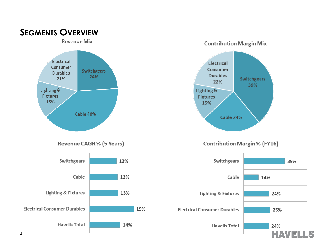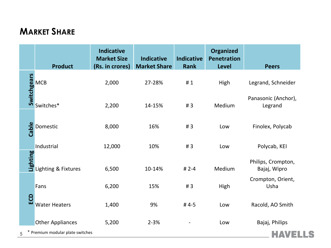# **MARKET SHARE**

|       | <b>Product</b>                                             | <b>Indicative</b><br><b>Market Size</b><br>(Rs. in crores) | <b>Indicative</b><br><b>Market Share</b> | <b>Indicative</b><br><b>Rank</b> | <b>Organized</b><br><b>Penetration</b><br><b>Level</b> | <b>Peers</b>                       |
|-------|------------------------------------------------------------|------------------------------------------------------------|------------------------------------------|----------------------------------|--------------------------------------------------------|------------------------------------|
|       | Solution<br>Solution<br>Solutions*                         | 2,000                                                      | 27-28%                                   | #1                               | High                                                   | Legrand, Schneider                 |
|       |                                                            | 2,200                                                      | 14-15%                                   | #3                               | Medium                                                 | Panasonic (Anchor),<br>Legrand     |
| Cable | Domestic                                                   | 8,000                                                      | 16%                                      | #3                               | Low                                                    | Finolex, Polycab                   |
|       | Industrial                                                 | 12,000                                                     | 10%                                      | #3                               | Low                                                    | Polycab, KEI                       |
|       | <b>SEPTER</b><br>September 2015<br>September 2016 Tixtures | 6,500                                                      | 10-14%                                   | # $2-4$                          | Medium                                                 | Philips, Crompton,<br>Bajaj, Wipro |
|       | Fans                                                       | 6,200                                                      | 15%                                      | #3                               | High                                                   | Crompton, Orient,<br>Usha          |
| ECD   | <b>Water Heaters</b>                                       | 1,400                                                      | 9%                                       | #4-5                             | Low                                                    | Racold, AO Smith                   |
|       | <b>Other Appliances</b>                                    | 5,200                                                      | $2 - 3%$                                 |                                  | Low                                                    | Bajaj, Philips                     |
| 5     | Premium modular plate switches                             |                                                            |                                          |                                  |                                                        |                                    |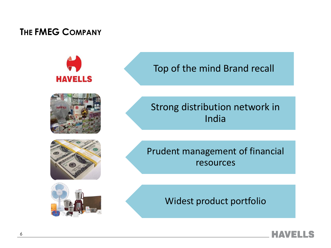### **THE FMEG COMPANY**



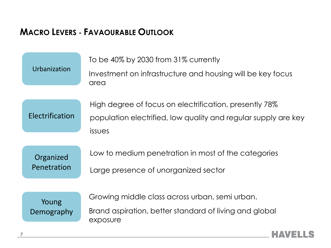### **MACRO LEVERS - FAVAOURABLE OUTLOOK**



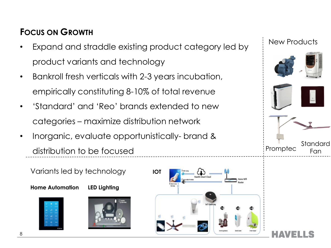## **FOCUS ON GROWTH**

- Expand and straddle existing product category led by product variants and technology
- Bankroll fresh verticals with 2-3 years incubation, empirically constituting 8-10% of total revenue
- 'Standard' and 'Reo' brands extended to new categories – maximize distribution network
- Inorganic, evaluate opportunistically- brand & distribution to be focused





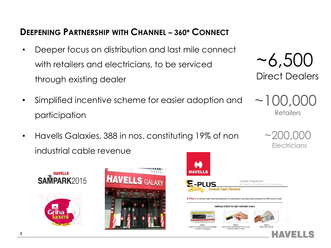### **DEEPENING PARTNERSHIP WITH CHANNEL – 360\* CONNECT**

- Deeper focus on distribution and last mile connect with retailers and electricians, to be serviced through existing dealer
- Simplified incentive scheme for easier adoption and participation
- Havells Galaxies, 388 in nos. constituting 19% of non industrial cable revenue







# ~6,500 Direct Dealers

 $\sim$  100,0 Retailers

> $\sim$ 200,000 Electricians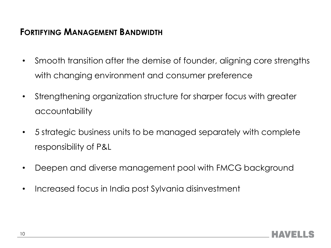### **FORTIFYING MANAGEMENT BANDWIDTH**

- Smooth transition after the demise of founder, aligning core strengths with changing environment and consumer preference
- Strengthening organization structure for sharper focus with greater accountability
- 5 strategic business units to be managed separately with complete responsibility of P&L
- Deepen and diverse management pool with FMCG background
- Increased focus in India post Sylvania disinvestment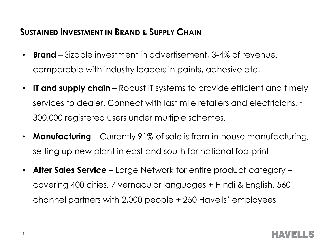### **SUSTAINED INVESTMENT IN BRAND & SUPPLY CHAIN**

- **Brand** Sizable investment in advertisement, 3-4% of revenue, comparable with industry leaders in paints, adhesive etc.
- **IT and supply chain** Robust IT systems to provide efficient and timely services to dealer. Connect with last mile retailers and electricians,  $\sim$ 300,000 registered users under multiple schemes.
- **Manufacturing** Currently 91% of sale is from in-house manufacturing, setting up new plant in east and south for national footprint
- **After Sales Service –** Large Network for entire product category covering 400 cities, 7 vernacular languages + Hindi & English, 560 channel partners with 2,000 people + 250 Havells' employees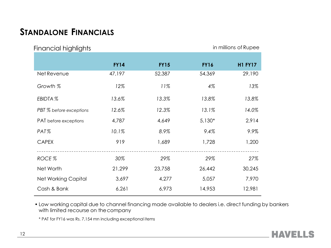### **STANDALONE FINANCIALS**

| in millions of Rupee<br><b>Financial highlights</b> |             |             |             |                |  |  |  |
|-----------------------------------------------------|-------------|-------------|-------------|----------------|--|--|--|
|                                                     | <b>FY14</b> | <b>FY15</b> | <b>FY16</b> | <b>H1 FY17</b> |  |  |  |
| Net Revenue                                         | 47,197      | 52,387      | 54,369      | 29,190         |  |  |  |
| Growth %                                            | 12%         | 11%         | 4%          | 13%            |  |  |  |
| EBIDTA %                                            | 13.6%       | 13.3%       | 13.8%       | 13.8%          |  |  |  |
| PBT % before exceptions                             | 12.6%       | 12.3%       | 13.1%       | 14.0%          |  |  |  |
| PAT before exceptions                               | 4,787       | 4,649       | $5,130*$    | 2,914          |  |  |  |
| PAT%                                                | 10.1%       | 8.9%        | 9.4%        | 9.9%           |  |  |  |
| <b>CAPEX</b>                                        | 919         | 1,689       | 1,728       | 1,200          |  |  |  |
| ROCE%                                               | 30%         | 29%         | 29%         | 27%            |  |  |  |
| Net Worth                                           | 21,299      | 23,758      | 26,442      | 30,245         |  |  |  |
| <b>Net Working Capital</b>                          | 3,697       | 4,277       | 5,057       | 7,970          |  |  |  |
| Cash & Bank                                         | 6,261       | 6,973       | 14,953      | 12,981         |  |  |  |

• Low working capital due to channel financing made available to dealers i.e. direct funding by bankers with limited recourse on thecompany

\* PAT for FY16 was Rs. 7,154 mn including exceptional items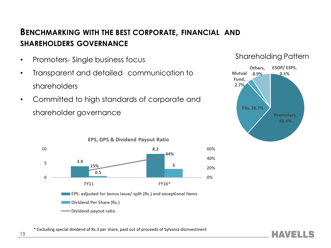### **BENCHMARKING WITH THE BEST CORPORATE, FINANCIAL AND SHAREHOLDERS GOVERNANCE**

- Promoters- Single business focus
- Transparent and detailed communication to shareholders
- Committed to high standards of corporate and shareholder governance





**HAVELLS** 



\* Excluding special dividend of Rs.3 per share, paid out of proceeds of Sylvania disinvestment

13